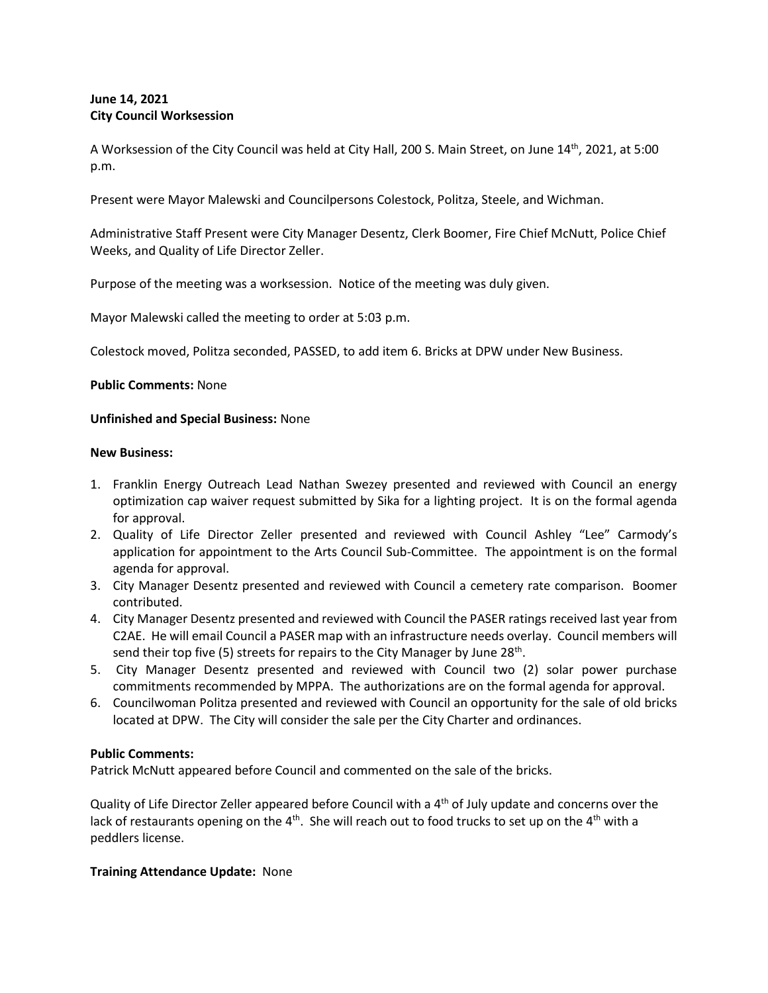# **June 14, 2021 City Council Worksession**

A Worksession of the City Council was held at City Hall, 200 S. Main Street, on June 14<sup>th</sup>, 2021, at 5:00 p.m.

Present were Mayor Malewski and Councilpersons Colestock, Politza, Steele, and Wichman.

Administrative Staff Present were City Manager Desentz, Clerk Boomer, Fire Chief McNutt, Police Chief Weeks, and Quality of Life Director Zeller.

Purpose of the meeting was a worksession. Notice of the meeting was duly given.

Mayor Malewski called the meeting to order at 5:03 p.m.

Colestock moved, Politza seconded, PASSED, to add item 6. Bricks at DPW under New Business.

#### **Public Comments:** None

#### **Unfinished and Special Business:** None

#### **New Business:**

- 1. Franklin Energy Outreach Lead Nathan Swezey presented and reviewed with Council an energy optimization cap waiver request submitted by Sika for a lighting project. It is on the formal agenda for approval.
- 2. Quality of Life Director Zeller presented and reviewed with Council Ashley "Lee" Carmody's application for appointment to the Arts Council Sub-Committee. The appointment is on the formal agenda for approval.
- 3. City Manager Desentz presented and reviewed with Council a cemetery rate comparison. Boomer contributed.
- 4. City Manager Desentz presented and reviewed with Council the PASER ratings received last year from C2AE. He will email Council a PASER map with an infrastructure needs overlay. Council members will send their top five (5) streets for repairs to the City Manager by June 28<sup>th</sup>.
- 5. City Manager Desentz presented and reviewed with Council two (2) solar power purchase commitments recommended by MPPA. The authorizations are on the formal agenda for approval.
- 6. Councilwoman Politza presented and reviewed with Council an opportunity for the sale of old bricks located at DPW. The City will consider the sale per the City Charter and ordinances.

## **Public Comments:**

Patrick McNutt appeared before Council and commented on the sale of the bricks.

Quality of Life Director Zeller appeared before Council with a 4th of July update and concerns over the lack of restaurants opening on the 4<sup>th</sup>. She will reach out to food trucks to set up on the 4<sup>th</sup> with a peddlers license.

## **Training Attendance Update:** None